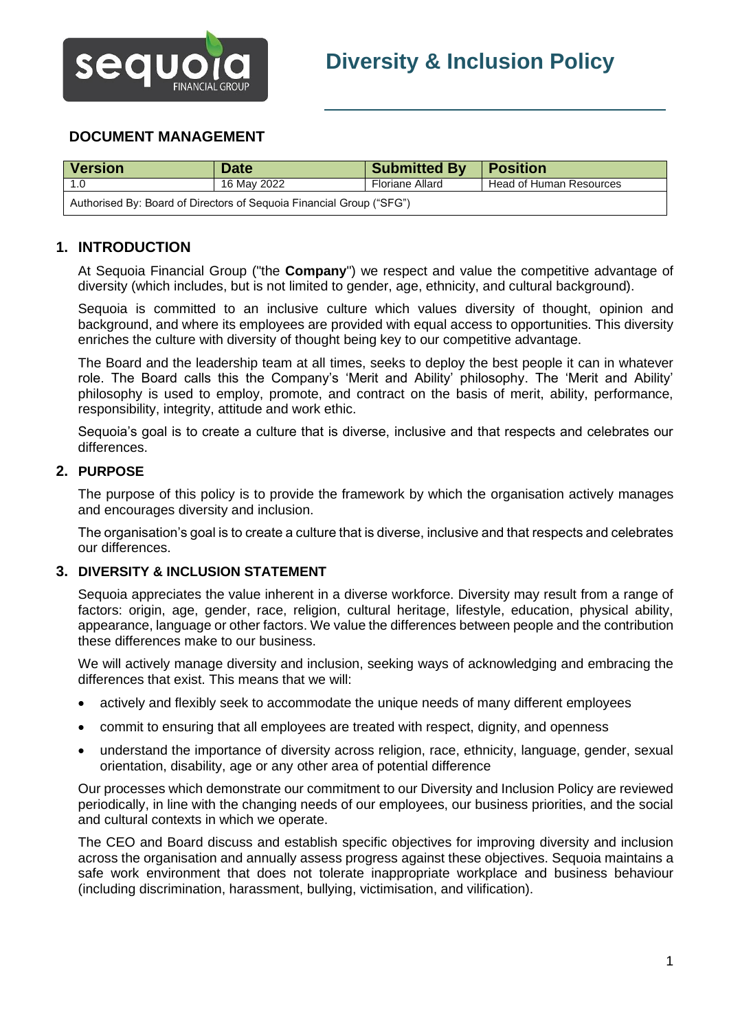

# **DOCUMENT MANAGEMENT**

| <b>Version</b>                                                       | <b>Date</b> | <b>Submitted By</b> | <b>Position</b>                |  |
|----------------------------------------------------------------------|-------------|---------------------|--------------------------------|--|
|                                                                      | 16 May 2022 | Floriane Allard     | <b>Head of Human Resources</b> |  |
| Authorised By: Board of Directors of Sequoia Financial Group ("SFG") |             |                     |                                |  |

# **1. INTRODUCTION**

At Sequoia Financial Group ("the **Company**") we respect and value the competitive advantage of diversity (which includes, but is not limited to gender, age, ethnicity, and cultural background).

Sequoia is committed to an inclusive culture which values diversity of thought, opinion and background, and where its employees are provided with equal access to opportunities. This diversity enriches the culture with diversity of thought being key to our competitive advantage.

The Board and the leadership team at all times, seeks to deploy the best people it can in whatever role. The Board calls this the Company's 'Merit and Ability' philosophy. The 'Merit and Ability' philosophy is used to employ, promote, and contract on the basis of merit, ability, performance, responsibility, integrity, attitude and work ethic.

Sequoia's goal is to create a culture that is diverse, inclusive and that respects and celebrates our differences.

#### **2. PURPOSE**

The purpose of this policy is to provide the framework by which the organisation actively manages and encourages diversity and inclusion.

The organisation's goal is to create a culture that is diverse, inclusive and that respects and celebrates our differences.

#### **3. DIVERSITY & INCLUSION STATEMENT**

Sequoia appreciates the value inherent in a diverse workforce. Diversity may result from a range of factors: origin, age, gender, race, religion, cultural heritage, lifestyle, education, physical ability, appearance, language or other factors. We value the differences between people and the contribution these differences make to our business.

We will actively manage diversity and inclusion, seeking ways of acknowledging and embracing the differences that exist. This means that we will:

- actively and flexibly seek to accommodate the unique needs of many different employees
- commit to ensuring that all employees are treated with respect, dignity, and openness
- understand the importance of diversity across religion, race, ethnicity, language, gender, sexual orientation, disability, age or any other area of potential difference

Our processes which demonstrate our commitment to our Diversity and Inclusion Policy are reviewed periodically, in line with the changing needs of our employees, our business priorities, and the social and cultural contexts in which we operate.

The CEO and Board discuss and establish specific objectives for improving diversity and inclusion across the organisation and annually assess progress against these objectives. Sequoia maintains a safe work environment that does not tolerate inappropriate workplace and business behaviour (including discrimination, harassment, bullying, victimisation, and vilification).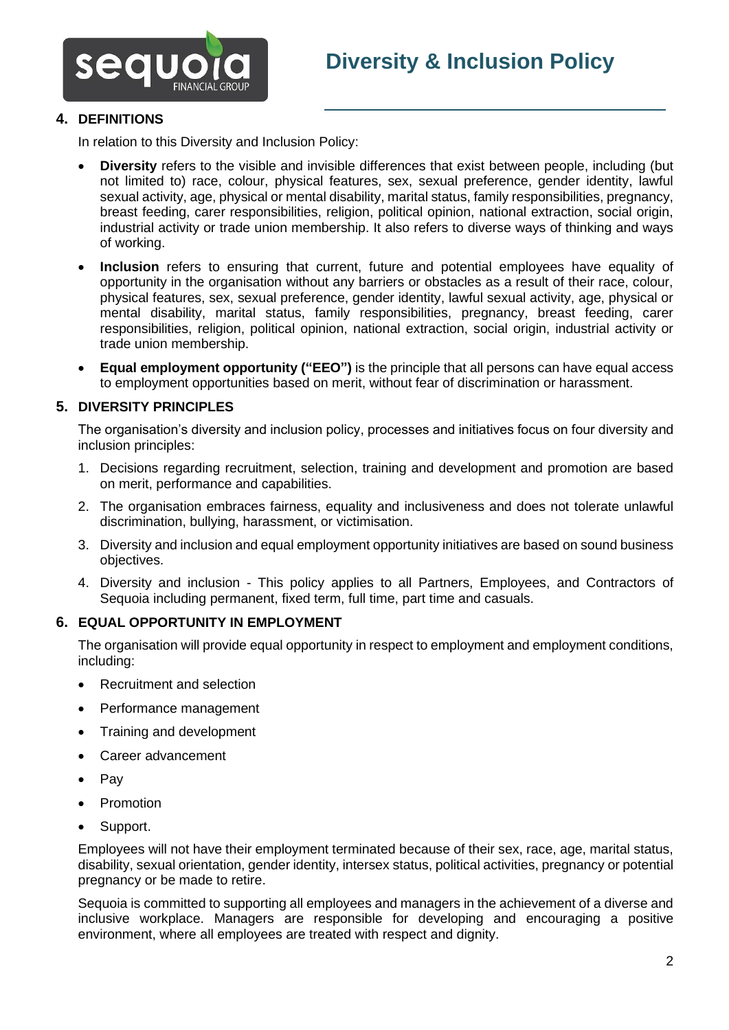

## **4. DEFINITIONS**

In relation to this Diversity and Inclusion Policy:

- **Diversity** refers to the visible and invisible differences that exist between people, including (but not limited to) race, colour, physical features, sex, sexual preference, gender identity, lawful sexual activity, age, physical or mental disability, marital status, family responsibilities, pregnancy, breast feeding, carer responsibilities, religion, political opinion, national extraction, social origin, industrial activity or trade union membership. It also refers to diverse ways of thinking and ways of working.
- **Inclusion** refers to ensuring that current, future and potential employees have equality of opportunity in the organisation without any barriers or obstacles as a result of their race, colour, physical features, sex, sexual preference, gender identity, lawful sexual activity, age, physical or mental disability, marital status, family responsibilities, pregnancy, breast feeding, carer responsibilities, religion, political opinion, national extraction, social origin, industrial activity or trade union membership.
- **Equal employment opportunity ("EEO")** is the principle that all persons can have equal access to employment opportunities based on merit, without fear of discrimination or harassment.

#### **5. DIVERSITY PRINCIPLES**

The organisation's diversity and inclusion policy, processes and initiatives focus on four diversity and inclusion principles:

- 1. Decisions regarding recruitment, selection, training and development and promotion are based on merit, performance and capabilities.
- 2. The organisation embraces fairness, equality and inclusiveness and does not tolerate unlawful discrimination, bullying, harassment, or victimisation.
- 3. Diversity and inclusion and equal employment opportunity initiatives are based on sound business objectives.
- 4. Diversity and inclusion This policy applies to all Partners, Employees, and Contractors of Sequoia including permanent, fixed term, full time, part time and casuals.

#### **6. EQUAL OPPORTUNITY IN EMPLOYMENT**

The organisation will provide equal opportunity in respect to employment and employment conditions, including:

- Recruitment and selection
- Performance management
- Training and development
- Career advancement
- Pay
- **Promotion**
- Support.

Employees will not have their employment terminated because of their sex, race, age, marital status, disability, sexual orientation, gender identity, intersex status, political activities, pregnancy or potential pregnancy or be made to retire.

Sequoia is committed to supporting all employees and managers in the achievement of a diverse and inclusive workplace. Managers are responsible for developing and encouraging a positive environment, where all employees are treated with respect and dignity.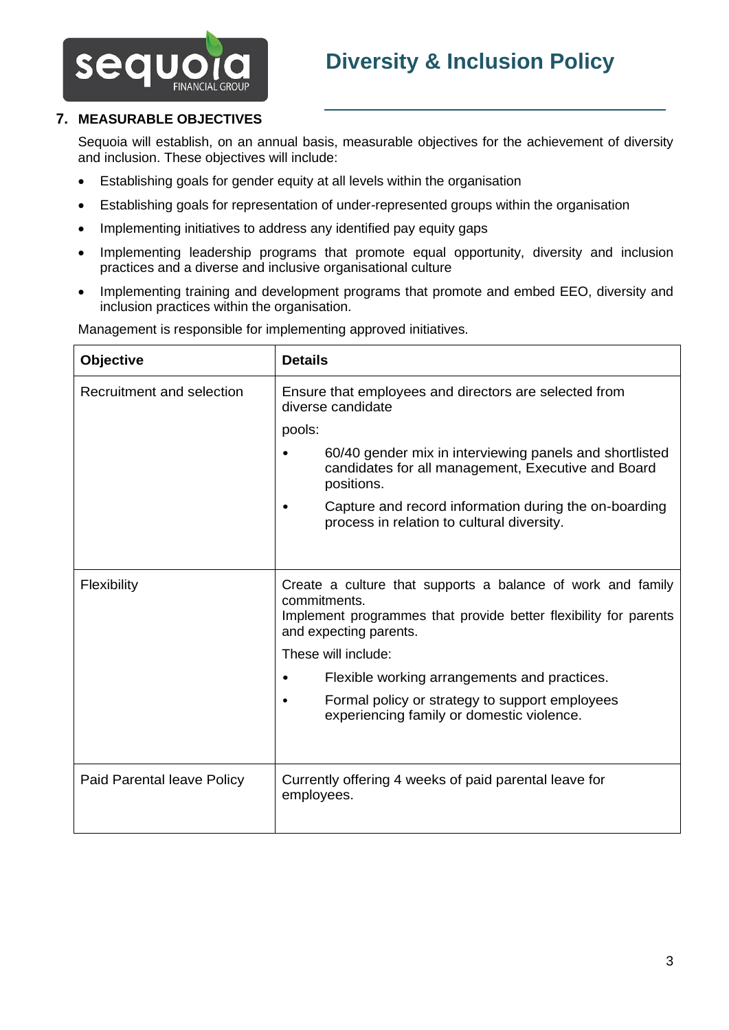



# **7. MEASURABLE OBJECTIVES**

Sequoia will establish, on an annual basis, measurable objectives for the achievement of diversity and inclusion. These objectives will include:

- Establishing goals for gender equity at all levels within the organisation
- Establishing goals for representation of under-represented groups within the organisation
- Implementing initiatives to address any identified pay equity gaps
- Implementing leadership programs that promote equal opportunity, diversity and inclusion practices and a diverse and inclusive organisational culture
- Implementing training and development programs that promote and embed EEO, diversity and inclusion practices within the organisation.

| Objective                  | <b>Details</b>                                                                                                                                                            |  |
|----------------------------|---------------------------------------------------------------------------------------------------------------------------------------------------------------------------|--|
| Recruitment and selection  | Ensure that employees and directors are selected from<br>diverse candidate                                                                                                |  |
|                            | pools:                                                                                                                                                                    |  |
|                            | 60/40 gender mix in interviewing panels and shortlisted<br>candidates for all management, Executive and Board<br>positions.                                               |  |
|                            | Capture and record information during the on-boarding<br>٠<br>process in relation to cultural diversity.                                                                  |  |
|                            |                                                                                                                                                                           |  |
| Flexibility                | Create a culture that supports a balance of work and family<br>commitments.<br>Implement programmes that provide better flexibility for parents<br>and expecting parents. |  |
|                            | These will include:                                                                                                                                                       |  |
|                            | Flexible working arrangements and practices.                                                                                                                              |  |
|                            | Formal policy or strategy to support employees<br>$\bullet$<br>experiencing family or domestic violence.                                                                  |  |
|                            |                                                                                                                                                                           |  |
| Paid Parental leave Policy | Currently offering 4 weeks of paid parental leave for<br>employees.                                                                                                       |  |

Management is responsible for implementing approved initiatives.